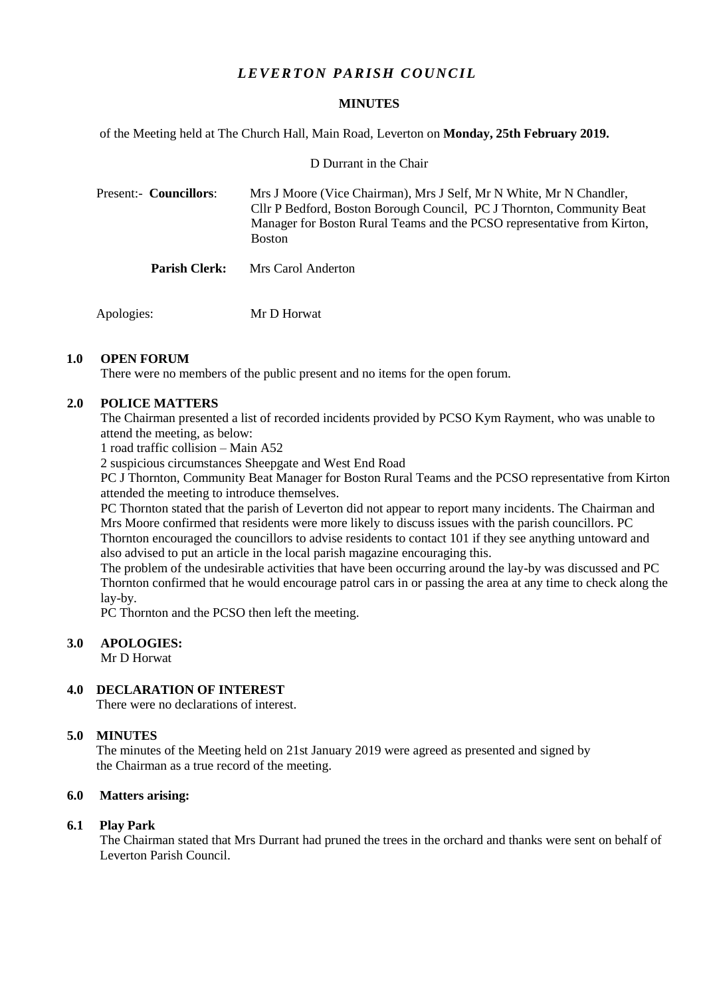# *L E VER T ON PARISH C OU NC IL*

#### **MINUTES**

of the Meeting held at The Church Hall, Main Road, Leverton on **Monday, 25th February 2019.**

D Durrant in the Chair

 Present:- **Councillors**: Mrs J Moore (Vice Chairman), Mrs J Self, Mr N White, Mr N Chandler, Cllr P Bedford, Boston Borough Council, PC J Thornton, Community Beat Manager for Boston Rural Teams and the PCSO representative from Kirton, Boston

**Parish Clerk:** Mrs Carol Anderton

Apologies: Mr D Horwat

## **1.0 OPEN FORUM**

There were no members of the public present and no items for the open forum.

## **2.0 POLICE MATTERS**

The Chairman presented a list of recorded incidents provided by PCSO Kym Rayment, who was unable to attend the meeting, as below:

1 road traffic collision – Main A52

2 suspicious circumstances Sheepgate and West End Road

PC J Thornton, Community Beat Manager for Boston Rural Teams and the PCSO representative from Kirton attended the meeting to introduce themselves.

PC Thornton stated that the parish of Leverton did not appear to report many incidents. The Chairman and Mrs Moore confirmed that residents were more likely to discuss issues with the parish councillors. PC Thornton encouraged the councillors to advise residents to contact 101 if they see anything untoward and also advised to put an article in the local parish magazine encouraging this.

The problem of the undesirable activities that have been occurring around the lay-by was discussed and PC Thornton confirmed that he would encourage patrol cars in or passing the area at any time to check along the lay-by.

PC Thornton and the PCSO then left the meeting.

#### **3.0 APOLOGIES:**

Mr D Horwat

# **4.0 DECLARATION OF INTEREST**

There were no declarations of interest.

#### **5.0 MINUTES**

 The minutes of the Meeting held on 21st January 2019 were agreed as presented and signed by the Chairman as a true record of the meeting.

### **6.0 Matters arising:**

### **6.1 Play Park**

The Chairman stated that Mrs Durrant had pruned the trees in the orchard and thanks were sent on behalf of Leverton Parish Council.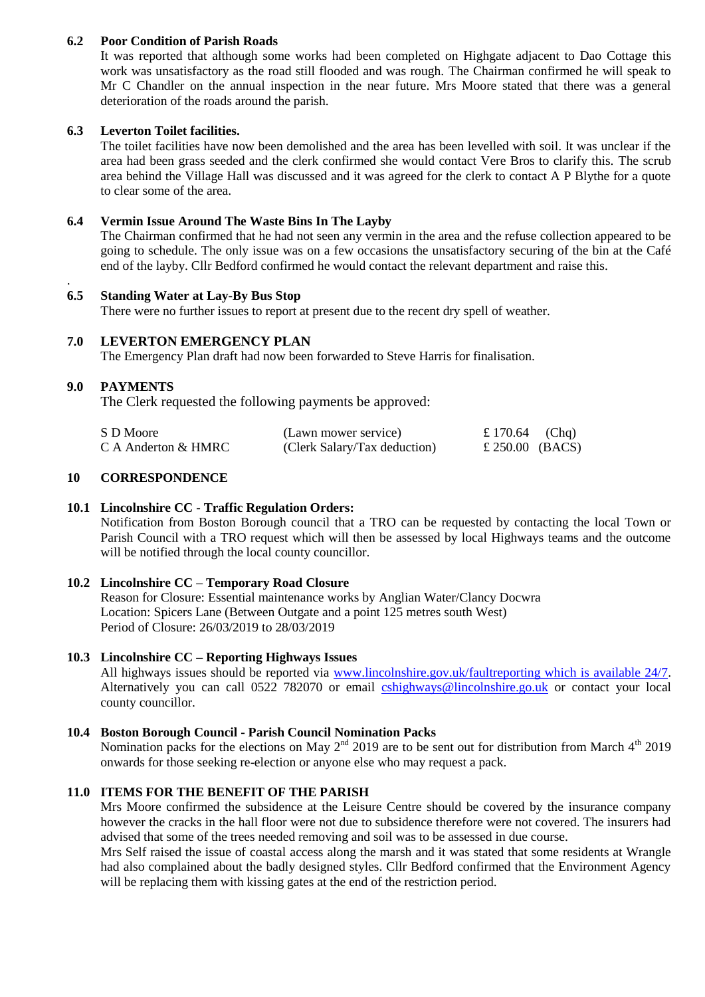# **6.2 Poor Condition of Parish Roads**

It was reported that although some works had been completed on Highgate adjacent to Dao Cottage this work was unsatisfactory as the road still flooded and was rough. The Chairman confirmed he will speak to Mr C Chandler on the annual inspection in the near future. Mrs Moore stated that there was a general deterioration of the roads around the parish.

### **6.3 Leverton Toilet facilities.**

The toilet facilities have now been demolished and the area has been levelled with soil. It was unclear if the area had been grass seeded and the clerk confirmed she would contact Vere Bros to clarify this. The scrub area behind the Village Hall was discussed and it was agreed for the clerk to contact A P Blythe for a quote to clear some of the area.

## **6.4 Vermin Issue Around The Waste Bins In The Layby**

The Chairman confirmed that he had not seen any vermin in the area and the refuse collection appeared to be going to schedule. The only issue was on a few occasions the unsatisfactory securing of the bin at the Café end of the layby. Cllr Bedford confirmed he would contact the relevant department and raise this.

## **6.5 Standing Water at Lay-By Bus Stop**

There were no further issues to report at present due to the recent dry spell of weather.

## **7.0 LEVERTON EMERGENCY PLAN**

The Emergency Plan draft had now been forwarded to Steve Harris for finalisation.

## **9.0 PAYMENTS**

.

The Clerk requested the following payments be approved:

| S D Moore           | (Lawn mower service)         | £ 170.64 (Chq)  |  |
|---------------------|------------------------------|-----------------|--|
| C A Anderton & HMRC | (Clerk Salary/Tax deduction) | £ 250.00 (BACS) |  |

#### **10 CORRESPONDENCE**

### **10.1 Lincolnshire CC - Traffic Regulation Orders:**

Notification from Boston Borough council that a TRO can be requested by contacting the local Town or Parish Council with a TRO request which will then be assessed by local Highways teams and the outcome will be notified through the local county councillor.

#### **10.2 Lincolnshire CC – Temporary Road Closure**

Reason for Closure: Essential maintenance works by Anglian Water/Clancy Docwra Location: Spicers Lane (Between Outgate and a point 125 metres south West) Period of Closure: 26/03/2019 to 28/03/2019

#### **10.3 Lincolnshire CC – Reporting Highways Issues**

All highways issues should be reported via [www.lincolnshire.gov.uk/faultreporting which is available 24/7.](http://www.lincolnshire.gov.uk/faultreporting%20which%20is%20available%2024/7) Alternatively you can call 0522 782070 or email [cshighways@lincolnshire.go.uk](mailto:cshighways@lincolnshire.go.uk) or contact your local county councillor.

# **10.4 Boston Borough Council - Parish Council Nomination Packs**

Nomination packs for the elections on May  $2^{nd}$  2019 are to be sent out for distribution from March  $4^{th}$  2019 onwards for those seeking re-election or anyone else who may request a pack.

## **11.0 ITEMS FOR THE BENEFIT OF THE PARISH**

Mrs Moore confirmed the subsidence at the Leisure Centre should be covered by the insurance company however the cracks in the hall floor were not due to subsidence therefore were not covered. The insurers had advised that some of the trees needed removing and soil was to be assessed in due course.

Mrs Self raised the issue of coastal access along the marsh and it was stated that some residents at Wrangle had also complained about the badly designed styles. Cllr Bedford confirmed that the Environment Agency will be replacing them with kissing gates at the end of the restriction period.